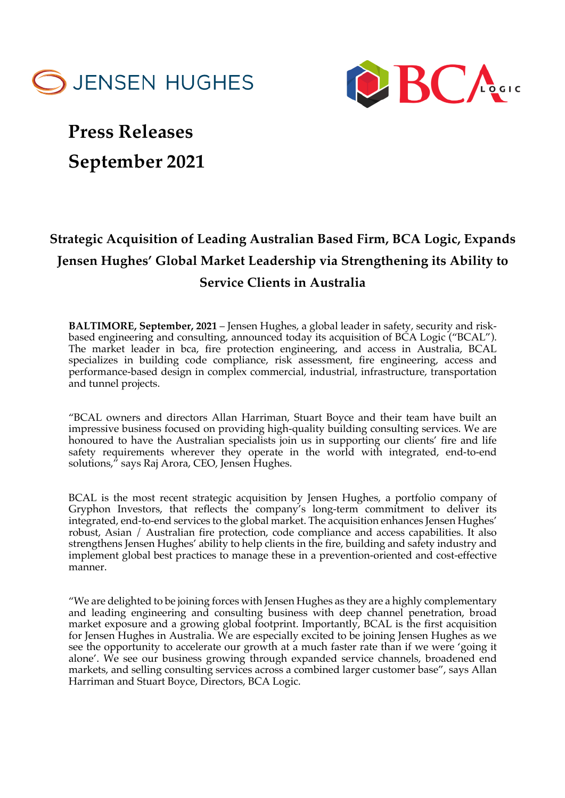



## **Press Releases September 2021**

## **Strategic Acquisition of Leading Australian Based Firm, BCA Logic, Expands Jensen Hughes' Global Market Leadership via Strengthening its Ability to Service Clients in Australia**

**BALTIMORE, September, 2021** – Jensen Hughes, a global leader in safety, security and riskbased engineering and consulting, announced today its acquisition of BCA Logic ("BCAL"). The market leader in bca, fire protection engineering, and access in Australia, BCAL specializes in building code compliance, risk assessment, fire engineering, access and performance-based design in complex commercial, industrial, infrastructure, transportation and tunnel projects.

"BCAL owners and directors Allan Harriman, Stuart Boyce and their team have built an impressive business focused on providing high-quality building consulting services. We are honoured to have the Australian specialists join us in supporting our clients' fire and life safety requirements wherever they operate in the world with integrated, end-to-end solutions," says Raj Arora, CEO, Jensen Hughes.

BCAL is the most recent strategic acquisition by Jensen Hughes, a portfolio company of Gryphon Investors, that reflects the company's long-term commitment to deliver its integrated, end-to-end services to the global market. The acquisition enhances Jensen Hughes' robust, Asian / Australian fire protection, code compliance and access capabilities. It also strengthens Jensen Hughes' ability to help clients in the fire, building and safety industry and implement global best practices to manage these in a prevention-oriented and cost-effective manner.

"We are delighted to be joining forces with Jensen Hughes as they are a highly complementary and leading engineering and consulting business with deep channel penetration, broad market exposure and a growing global footprint. Importantly, BCAL is the first acquisition for Jensen Hughes in Australia. We are especially excited to be joining Jensen Hughes as we see the opportunity to accelerate our growth at a much faster rate than if we were 'going it alone'. We see our business growing through expanded service channels, broadened end markets, and selling consulting services across a combined larger customer base", says Allan Harriman and Stuart Boyce, Directors, BCA Logic.